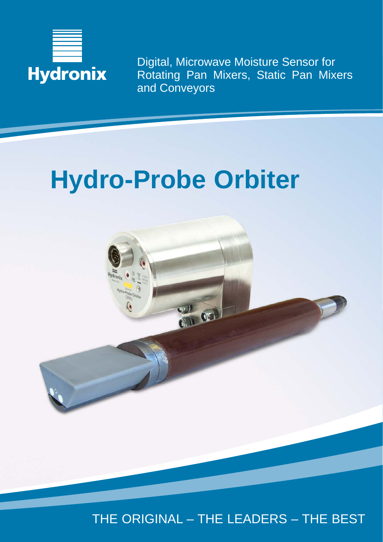

Digital, Microwave Moisture Sensor for Rotating Pan Mixers, Static Pan Mixers and Conveyors

# **Hydro-Probe Orbiter**



THE ORIGINAL – THE LEADERS – THE BEST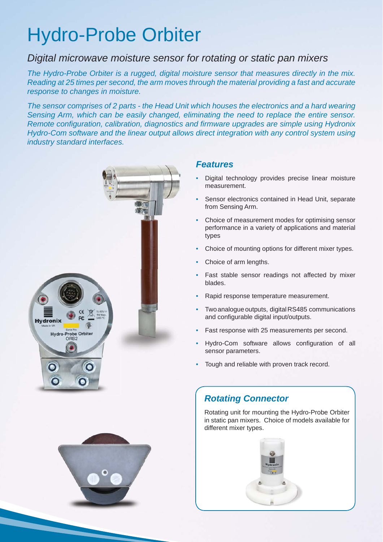## Hydro-Probe Orbiter

## *Digital microwave moisture sensor for rotating or static pan mixers*

*The Hydro-Probe Orbiter is a rugged, digital moisture sensor that measures directly in the mix. Reading at 25 times per second, the arm moves through the material providing a fast and accurate response to changes in moisture.* 

*The sensor comprises of 2 parts - the Head Unit which houses the electronics and a hard wearing Sensing Arm, which can be easily changed, eliminating the need to replace the entire sensor. Remote configuration, calibration, diagnostics and firmware upgrades are simple using Hydronix Hydro-Com software and the linear output allows direct integration with any control system using industry standard interfaces.*



## *Features*

- Digital technology provides precise linear moisture measurement.
- Sensor electronics contained in Head Unit, separate from Sensing Arm.
- Choice of measurement modes for optimising sensor performance in a variety of applications and material types
- Choice of mounting options for different mixer types.
- Choice of arm lengths.
- Fast stable sensor readings not affected by mixer blades.
- Rapid response temperature measurement.
- Two analogue outputs, digital RS485 communications and configurable digital input/outputs.
- Fast response with 25 measurements per second.
- Hydro-Com software allows configuration of all sensor parameters.
- Tough and reliable with proven track record.

## *Rotating Connector*

Rotating unit for mounting the Hydro-Probe Orbiter in static pan mixers. Choice of models available for different mixer types.

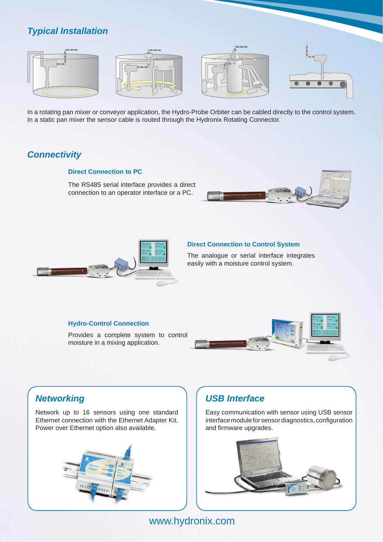## *Typical Installation*



In a rotating pan mixer or conveyor application, the Hydro-Probe Orbiter can be cabled directly to the control system. In a static pan mixer the sensor cable is routed through the Hydronix Rotating Connector.

## *Connectivity*

## **Direct Connection to PC**

The RS485 serial interface provides a direct connection to an operator interface or a PC.





## **Direct Connection to Control System**

The analogue or serial interface integrates easily with a moisture control system.

## **Hydro-Control Connection**

Provides a complete system to control moisture in a mixing application.



## *Networking*

Network up to 16 sensors using one standard Ethernet connection with the Ethernet Adapter Kit. Power over Ethernet option also available.



## *USB Interface*

Easy communication with sensor using USB sensor interface module for sensor diagnostics, configuration and firmware upgrades.



## www.hydronix.com